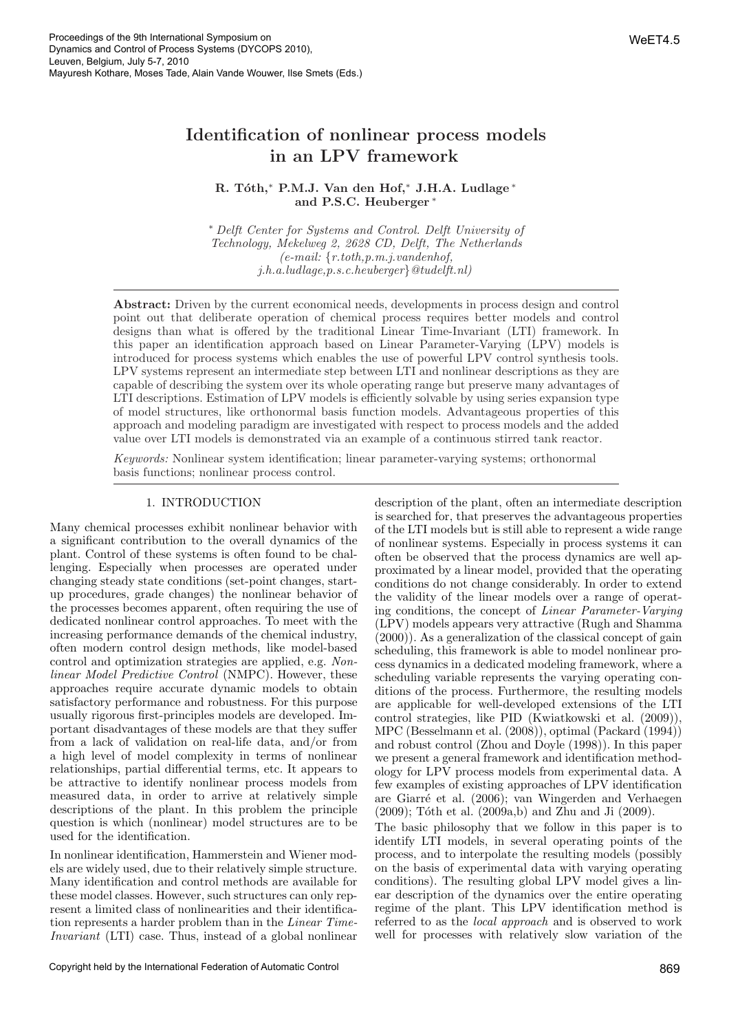# Identification of nonlinear process models in an LPV framework

# R. Tóth,\* P.M.J. Van den Hof,\* J.H.A. Ludlage \* and P.S.C. Heuberger

<sup>∗</sup> Delft Center for Systems and Control. Delft University of Technology, Mekelweg 2, 2628 CD, Delft, The Netherlands  $(e-mail: \{r.toth, p.m. j.vandenhof,$ j.h.a.ludlage,p.s.c.heuberger}@tudelft.nl)

Abstract: Driven by the current economical needs, developments in process design and control point out that deliberate operation of chemical process requires better models and control designs than what is offered by the traditional Linear Time-Invariant (LTI) framework. In this paper an identification approach based on Linear Parameter-Varying (LPV) models is introduced for process systems which enables the use of powerful LPV control synthesis tools. LPV systems represent an intermediate step between LTI and nonlinear descriptions as they are capable of describing the system over its whole operating range but preserve many advantages of LTI descriptions. Estimation of LPV models is efficiently solvable by using series expansion type of model structures, like orthonormal basis function models. Advantageous properties of this approach and modeling paradigm are investigated with respect to process models and the added value over LTI models is demonstrated via an example of a continuous stirred tank reactor.

Keywords: Nonlinear system identification; linear parameter-varying systems; orthonormal basis functions; nonlinear process control.

# 1. INTRODUCTION

Many chemical processes exhibit nonlinear behavior with a significant contribution to the overall dynamics of the plant. Control of these systems is often found to be challenging. Especially when processes are operated under changing steady state conditions (set-point changes, startup procedures, grade changes) the nonlinear behavior of the processes becomes apparent, often requiring the use of dedicated nonlinear control approaches. To meet with the increasing performance demands of the chemical industry, often modern control design methods, like model-based control and optimization strategies are applied, e.g. Nonlinear Model Predictive Control (NMPC). However, these approaches require accurate dynamic models to obtain satisfactory performance and robustness. For this purpose usually rigorous first-principles models are developed. Important disadvantages of these models are that they suffer from a lack of validation on real-life data, and/or from a high level of model complexity in terms of nonlinear relationships, partial differential terms, etc. It appears to be attractive to identify nonlinear process models from measured data, in order to arrive at relatively simple descriptions of the plant. In this problem the principle question is which (nonlinear) model structures are to be used for the identification.

In nonlinear identification, Hammerstein and Wiener models are widely used, due to their relatively simple structure. Many identification and control methods are available for these model classes. However, such structures can only represent a limited class of nonlinearities and their identification represents a harder problem than in the Linear Time-Invariant (LTI) case. Thus, instead of a global nonlinear description of the plant, often an intermediate description is searched for, that preserves the advantageous properties of the LTI models but is still able to represent a wide range of nonlinear systems. Especially in process systems it can often be observed that the process dynamics are well approximated by a linear model, provided that the operating conditions do not change considerably. In order to extend the validity of the linear models over a range of operating conditions, the concept of Linear Parameter-Varying (LPV) models appears very attractive (Rugh and Shamma (2000)). As a generalization of the classical concept of gain scheduling, this framework is able to model nonlinear process dynamics in a dedicated modeling framework, where a scheduling variable represents the varying operating conditions of the process. Furthermore, the resulting models are applicable for well-developed extensions of the LTI control strategies, like PID (Kwiatkowski et al. (2009)), MPC (Besselmann et al. (2008)), optimal (Packard (1994)) and robust control (Zhou and Doyle (1998)). In this paper we present a general framework and identification methodology for LPV process models from experimental data. A few examples of existing approaches of LPV identification are Giarré et al. (2006); van Wingerden and Verhaegen  $(2009)$ ; Tóth et al.  $(2009a,b)$  and Zhu and Ji  $(2009)$ .

The basic philosophy that we follow in this paper is to identify LTI models, in several operating points of the process, and to interpolate the resulting models (possibly on the basis of experimental data with varying operating conditions). The resulting global LPV model gives a linear description of the dynamics over the entire operating regime of the plant. This LPV identification method is referred to as the local approach and is observed to work well for processes with relatively slow variation of the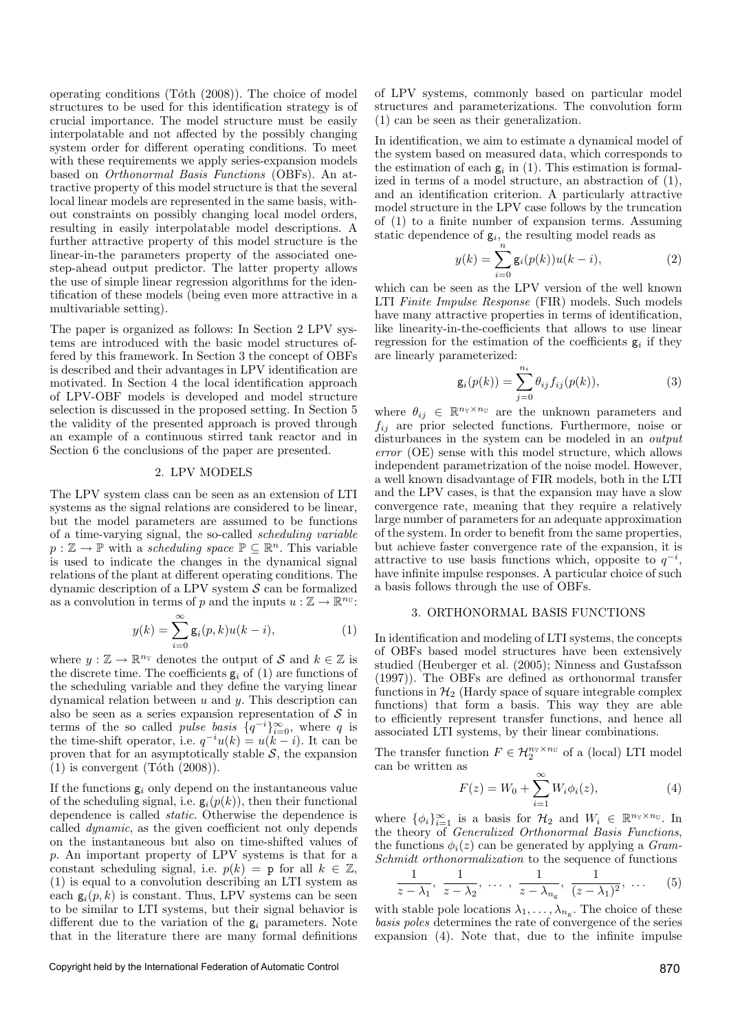operating conditions  $(Tóth (2008))$ . The choice of model structures to be used for this identification strategy is of crucial importance. The model structure must be easily interpolatable and not affected by the possibly changing system order for different operating conditions. To meet with these requirements we apply series-expansion models based on Orthonormal Basis Functions (OBFs). An attractive property of this model structure is that the several local linear models are represented in the same basis, without constraints on possibly changing local model orders, resulting in easily interpolatable model descriptions. A further attractive property of this model structure is the linear-in-the parameters property of the associated onestep-ahead output predictor. The latter property allows the use of simple linear regression algorithms for the identification of these models (being even more attractive in a multivariable setting).

The paper is organized as follows: In Section 2 LPV systems are introduced with the basic model structures offered by this framework. In Section 3 the concept of OBFs is described and their advantages in LPV identification are motivated. In Section 4 the local identification approach of LPV-OBF models is developed and model structure selection is discussed in the proposed setting. In Section 5 the validity of the presented approach is proved through an example of a continuous stirred tank reactor and in Section 6 the conclusions of the paper are presented.

#### 2. LPV MODELS

The LPV system class can be seen as an extension of LTI systems as the signal relations are considered to be linear, but the model parameters are assumed to be functions of a time-varying signal, the so-called scheduling variable  $p : \mathbb{Z} \to \mathbb{P}$  with a scheduling space  $\mathbb{P} \subseteq \mathbb{R}^n$ . This variable is used to indicate the changes in the dynamical signal relations of the plant at different operating conditions. The dynamic description of a LPV system  $S$  can be formalized as a convolution in terms of p and the inputs  $u : \mathbb{Z} \to \mathbb{R}^{n_{\mathbb{U}}}.$ 

$$
y(k) = \sum_{i=0}^{\infty} \mathsf{g}_i(p,k) u(k-i), \tag{1}
$$

where  $y : \mathbb{Z} \to \mathbb{R}^{n_Y}$  denotes the output of S and  $k \in \mathbb{Z}$  is the discrete time. The coefficients  $g_i$  of (1) are functions of the scheduling variable and they define the varying linear dynamical relation between  $u$  and  $y$ . This description can also be seen as a series expansion representation of  $S$  in terms of the so called *pulse basis*  $\{q^{-i}\}_{i=0}^{\infty}$ , where q is the time-shift operator, i.e.  $q^{-i}u(k) = u(k-i)$ . It can be proven that for an asymptotically stable  $S$ , the expansion  $(1)$  is convergent  $(Tóth (2008)).$ 

If the functions  $g_i$  only depend on the instantaneous value of the scheduling signal, i.e.  $g_i(p(k))$ , then their functional dependence is called static. Otherwise the dependence is called dynamic, as the given coefficient not only depends on the instantaneous but also on time-shifted values of p. An important property of LPV systems is that for a constant scheduling signal, i.e.  $p(k) = p$  for all  $k \in \mathbb{Z}$ , (1) is equal to a convolution describing an LTI system as each  $g_i(p, k)$  is constant. Thus, LPV systems can be seen to be similar to LTI systems, but their signal behavior is different due to the variation of the  $g_i$  parameters. Note that in the literature there are many formal definitions

of LPV systems, commonly based on particular model structures and parameterizations. The convolution form (1) can be seen as their generalization.

In identification, we aim to estimate a dynamical model of the system based on measured data, which corresponds to the estimation of each  $g_i$  in (1). This estimation is formalized in terms of a model structure, an abstraction of (1), and an identification criterion. A particularly attractive model structure in the LPV case follows by the truncation of (1) to a finite number of expansion terms. Assuming static dependence of  $g_i$ , the resulting model reads as

$$
y(k) = \sum_{i=0}^{n} g_i(p(k))u(k-i),
$$
 (2)

which can be seen as the LPV version of the well known LTI Finite Impulse Response (FIR) models. Such models have many attractive properties in terms of identification, like linearity-in-the-coefficients that allows to use linear regression for the estimation of the coefficients  $g_i$  if they are linearly parameterized:

$$
g_i(p(k)) = \sum_{j=0}^{n_i} \theta_{ij} f_{ij}(p(k)),
$$
\n(3)

where  $\theta_{ij} \in \mathbb{R}^{n_{\mathbb{Y}} \times n_{\mathbb{U}}}$  are the unknown parameters and  $f_{ij}$  are prior selected functions. Furthermore, noise or disturbances in the system can be modeled in an *output* error (OE) sense with this model structure, which allows independent parametrization of the noise model. However, a well known disadvantage of FIR models, both in the LTI and the LPV cases, is that the expansion may have a slow convergence rate, meaning that they require a relatively large number of parameters for an adequate approximation of the system. In order to benefit from the same properties, but achieve faster convergence rate of the expansion, it is attractive to use basis functions which, opposite to  $q^{-i}$ , have infinite impulse responses. A particular choice of such a basis follows through the use of OBFs.

# 3. ORTHONORMAL BASIS FUNCTIONS

In identification and modeling of LTI systems, the concepts of OBFs based model structures have been extensively studied (Heuberger et al. (2005); Ninness and Gustafsson (1997)). The OBFs are defined as orthonormal transfer functions in  $\mathcal{H}_2$  (Hardy space of square integrable complex functions) that form a basis. This way they are able to efficiently represent transfer functions, and hence all associated LTI systems, by their linear combinations.

The transfer function  $F \in \mathcal{H}_2^{n_{\mathcal{V}} \times n_{\mathcal{U}}}$  of a (local) LTI model can be written as

$$
F(z) = W_0 + \sum_{i=1}^{\infty} W_i \phi_i(z),
$$
 (4)

where  $\{\phi_i\}_{i=1}^{\infty}$  is a basis for  $\mathcal{H}_2$  and  $W_i \in \mathbb{R}^{n_{\mathcal{V}} \times n_{\mathcal{U}}}$ . In the theory of Generalized Orthonormal Basis Functions, the functions  $\phi_i(z)$  can be generated by applying a *Gram*-Schmidt orthonormalization to the sequence of functions

$$
\frac{1}{z-\lambda_1}, \frac{1}{z-\lambda_2}, \dots, \frac{1}{z-\lambda_{n_g}}, \frac{1}{(z-\lambda_1)^2}, \dots \quad (5)
$$

with stable pole locations  $\lambda_1, \ldots, \lambda_{n_g}$ . The choice of these basis poles determines the rate of convergence of the series expansion (4). Note that, due to the infinite impulse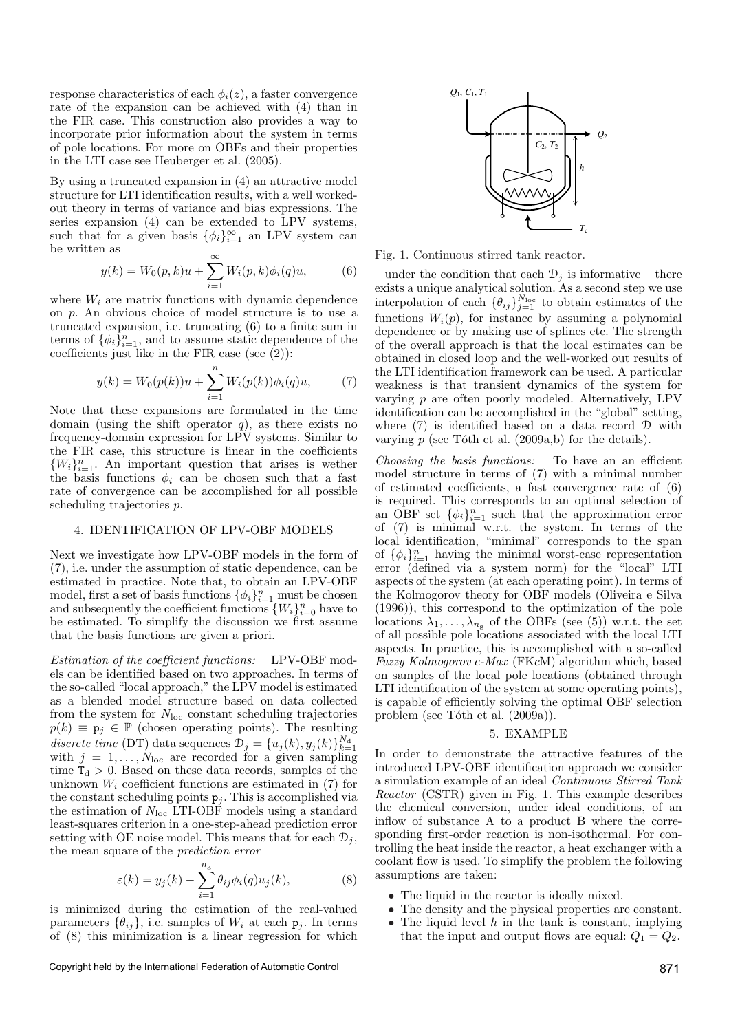response characteristics of each  $\phi_i(z)$ , a faster convergence rate of the expansion can be achieved with (4) than in the FIR case. This construction also provides a way to incorporate prior information about the system in terms of pole locations. For more on OBFs and their properties in the LTI case see Heuberger et al. (2005).

By using a truncated expansion in (4) an attractive model structure for LTI identification results, with a well workedout theory in terms of variance and bias expressions. The series expansion (4) can be extended to LPV systems, such that for a given basis  $\{\phi_i\}_{i=1}^{\infty}$  an LPV system can be written as

$$
y(k) = W_0(p,k)u + \sum_{i=1}^{\infty} W_i(p,k)\phi_i(q)u,
$$
 (6)

where  $W_i$  are matrix functions with dynamic dependence on p. An obvious choice of model structure is to use a truncated expansion, i.e. truncating (6) to a finite sum in terms of  $\{\phi_i\}_{i=1}^n$ , and to assume static dependence of the coefficients just like in the FIR case (see (2)):

$$
y(k) = W_0(p(k))u + \sum_{i=1}^{n} W_i(p(k))\phi_i(q)u,
$$
 (7)

Note that these expansions are formulated in the time domain (using the shift operator  $q$ ), as there exists no frequency-domain expression for LPV systems. Similar to the FIR case, this structure is linear in the coefficients  $\{W_i\}_{i=1}^n$ . An important question that arises is wether the basis functions  $\phi_i$  can be chosen such that a fast rate of convergence can be accomplished for all possible scheduling trajectories p.

## 4. IDENTIFICATION OF LPV-OBF MODELS

Next we investigate how LPV-OBF models in the form of (7), i.e. under the assumption of static dependence, can be estimated in practice. Note that, to obtain an LPV-OBF model, first a set of basis functions  $\{\phi_i\}_{i=1}^n$  must be chosen and subsequently the coefficient functions  $\{W_i\}_{i=0}^n$  have to be estimated. To simplify the discussion we first assume that the basis functions are given a priori.

Estimation of the coefficient functions: LPV-OBF models can be identified based on two approaches. In terms of the so-called "local approach," the LPV model is estimated as a blended model structure based on data collected from the system for  $N_{\text{loc}}$  constant scheduling trajectories  $p(k) \equiv \mathbf{p}_i \in \mathbb{P}$  (chosen operating points). The resulting discrete time (DT) data sequences  $\mathcal{D}_j = \{u_j(k), y_j(k)\}_{k=1}^{N_d}$ with  $j = 1, \ldots, N_{\text{loc}}$  are recorded for a given sampling time  $T_d > 0$ . Based on these data records, samples of the unknown  $W_i$  coefficient functions are estimated in (7) for the constant scheduling points  $p_j$ . This is accomplished via the estimation of  $N_{\text{loc}}$  LTI-OBF models using a standard least-squares criterion in a one-step-ahead prediction error setting with OE noise model. This means that for each  $\mathcal{D}_i$ , the mean square of the prediction error

$$
\varepsilon(k) = y_j(k) - \sum_{i=1}^{n_g} \theta_{ij} \phi_i(q) u_j(k), \qquad (8)
$$

is minimized during the estimation of the real-valued parameters  $\{\theta_{ij}\}\$ , i.e. samples of  $W_i$  at each  $p_i$ . In terms of (8) this minimization is a linear regression for which



Fig. 1. Continuous stirred tank reactor.

– under the condition that each  $\mathcal{D}_i$  is informative – there exists a unique analytical solution. As a second step we use interpolation of each  $\{\theta_{ij}\}_{j=1}^{N_{\text{loc}}}$  to obtain estimates of the functions  $W_i(p)$ , for instance by assuming a polynomial dependence or by making use of splines etc. The strength of the overall approach is that the local estimates can be obtained in closed loop and the well-worked out results of the LTI identification framework can be used. A particular weakness is that transient dynamics of the system for varying  $p$  are often poorly modeled. Alternatively, LPV identification can be accomplished in the "global" setting, where (7) is identified based on a data record D with varying  $p$  (see Tôth et al. (2009a,b) for the details).

Choosing the basis functions: To have an an efficient model structure in terms of (7) with a minimal number of estimated coefficients, a fast convergence rate of (6) is required. This corresponds to an optimal selection of an OBF set  $\{\phi_i\}_{i=1}^n$  such that the approximation error of (7) is minimal w.r.t. the system. In terms of the local identification, "minimal" corresponds to the span of  $\{\phi_i\}_{i=1}^n$  having the minimal worst-case representation error (defined via a system norm) for the "local" LTI aspects of the system (at each operating point). In terms of the Kolmogorov theory for OBF models (Oliveira e Silva (1996)), this correspond to the optimization of the pole locations  $\lambda_1, \ldots, \lambda_{n_g}$  of the OBFs (see (5)) w.r.t. the set of all possible pole locations associated with the local LTI aspects. In practice, this is accomplished with a so-called Fuzzy Kolmogorov c-Max (FKcM) algorithm which, based on samples of the local pole locations (obtained through LTI identification of the system at some operating points), is capable of efficiently solving the optimal OBF selection problem (see Tóth et al.  $(2009a)$ ).

#### 5. EXAMPLE

In order to demonstrate the attractive features of the introduced LPV-OBF identification approach we consider a simulation example of an ideal Continuous Stirred Tank Reactor (CSTR) given in Fig. 1. This example describes the chemical conversion, under ideal conditions, of an inflow of substance A to a product B where the corresponding first-order reaction is non-isothermal. For controlling the heat inside the reactor, a heat exchanger with a coolant flow is used. To simplify the problem the following assumptions are taken:

- The liquid in the reactor is ideally mixed.
- The density and the physical properties are constant.
- The liquid level  $h$  in the tank is constant, implying that the input and output flows are equal:  $Q_1 = Q_2$ .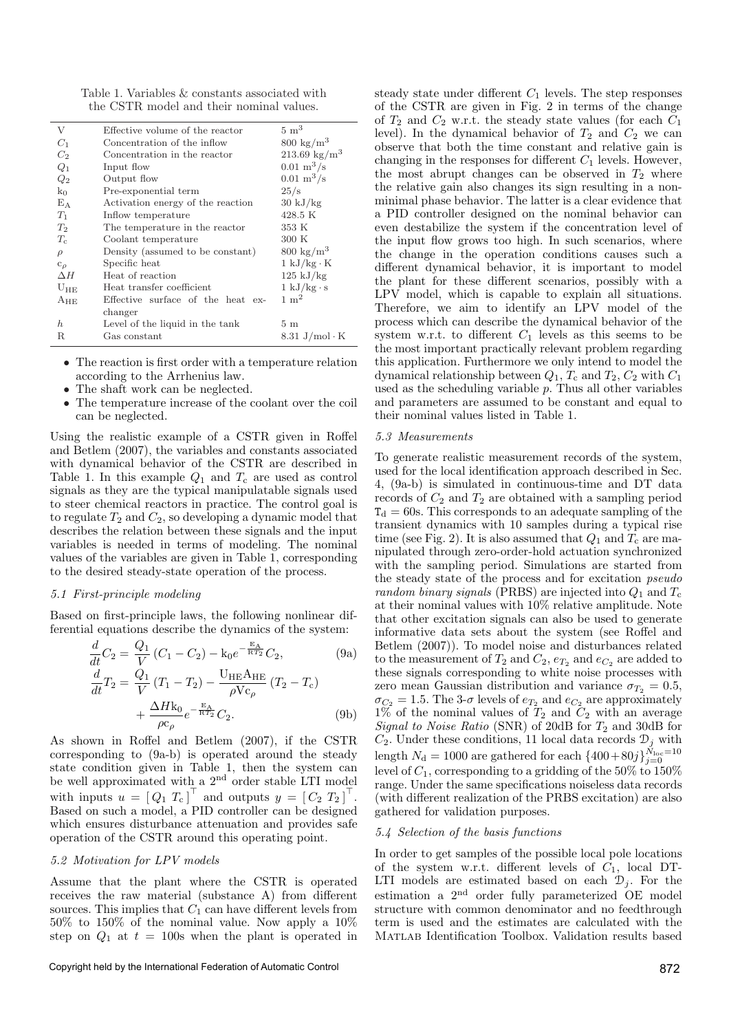Table 1. Variables & constants associated with the CSTR model and their nominal values.

| V              | Effective volume of the reactor   | $5 \; \mathrm{m}^3$                 |
|----------------|-----------------------------------|-------------------------------------|
| $C_1$          | Concentration of the inflow       | $800 \text{ kg/m}^3$                |
| C <sub>2</sub> | Concentration in the reactor      | $213.69 \text{ kg/m}^3$             |
| $Q_1$          | Input flow                        | $0.01 \; \mathrm{m}^3/\mathrm{s}$   |
| $Q_2$          | Output flow                       | $0.01 \; \mathrm{m}^3/\mathrm{s}$   |
| $k_0$          | Pre-exponential term              | 25/s                                |
| $E_A$          | Activation energy of the reaction | $30 \text{ kJ/kg}$                  |
| $T_1$          | Inflow temperature                | 428.5 K                             |
| $T_2$          | The temperature in the reactor    | 353 K                               |
| $T_c$          | Coolant temperature               | 300K                                |
| $\rho$         | Density (assumed to be constant)  | $800 \text{ kg/m}^3$                |
| $c_{\rho}$     | Specific heat                     | $1 \text{ kJ/kg} \cdot \text{K}$    |
| $\Delta H$     | Heat of reaction                  | $125 \mathrm{kJ/kg}$                |
| $U_{\rm HE}$   | Heat transfer coefficient         | $1 \text{ kJ/kg} \cdot \text{s}$    |
| $A_{HE}$       | Effective surface of the heat ex- | $1 \text{ m}^2$                     |
|                | changer                           |                                     |
| $\hbar$        | Level of the liquid in the tank   | 5m                                  |
| R              | Gas constant                      | $8.31 \text{ J/mol} \cdot \text{K}$ |

- The reaction is first order with a temperature relation according to the Arrhenius law.
- The shaft work can be neglected.
- The temperature increase of the coolant over the coil can be neglected.

Using the realistic example of a CSTR given in Roffel and Betlem (2007), the variables and constants associated with dynamical behavior of the CSTR are described in Table 1. In this example  $Q_1$  and  $T_c$  are used as control signals as they are the typical manipulatable signals used to steer chemical reactors in practice. The control goal is to regulate  $T_2$  and  $C_2$ , so developing a dynamic model that describes the relation between these signals and the input variables is needed in terms of modeling. The nominal values of the variables are given in Table 1, corresponding to the desired steady-state operation of the process.

### 5.1 First-principle modeling

Based on first-principle laws, the following nonlinear differential equations describe the dynamics of the system:

$$
\frac{d}{dt}C_2 = \frac{Q_1}{V}(C_1 - C_2) - k_0 e^{-\frac{E_A}{RT_2}}C_2,
$$
\n
$$
\frac{d}{d}C_2 = \frac{Q_1}{V_1} \left(1 - \frac{Q_2}{V_2}\right) - \frac{V_{\text{HE}}}{V_1} \left(1 - \frac{Q_1}{V_2}\right)
$$
\n(9a)

$$
\frac{d}{dt}T_2 = \frac{Q_1}{V} (T_1 - T_2) - \frac{U_{\text{HE}}A_{\text{HE}}}{\rho V c_{\rho}} (T_2 - T_c) + \frac{\Delta H k_0}{\rho c_{\rho}} e^{-\frac{E_A}{RT_2}} C_2.
$$
\n(9b)

As shown in Roffel and Betlem (2007), if the CSTR corresponding to (9a-b) is operated around the steady state condition given in Table 1, then the system can be well approximated with a  $2<sup>nd</sup>$  order stable LTI model with inputs  $u = [Q_1 T_c]^\top$  and outputs  $y = [C_2 T_2]^\top$ . Based on such a model, a PID controller can be designed which ensures disturbance attenuation and provides safe operation of the CSTR around this operating point.

## 5.2 Motivation for LPV models

Assume that the plant where the CSTR is operated receives the raw material (substance A) from different sources. This implies that  $C_1$  can have different levels from 50% to 150% of the nominal value. Now apply a 10% step on  $Q_1$  at  $t = 100$ s when the plant is operated in steady state under different  $C_1$  levels. The step responses of the CSTR are given in Fig. 2 in terms of the change of  $T_2$  and  $C_2$  w.r.t. the steady state values (for each  $C_1$ ) level). In the dynamical behavior of  $T_2$  and  $C_2$  we can observe that both the time constant and relative gain is changing in the responses for different  $C_1$  levels. However, the most abrupt changes can be observed in  $T_2$  where the relative gain also changes its sign resulting in a nonminimal phase behavior. The latter is a clear evidence that a PID controller designed on the nominal behavior can even destabilize the system if the concentration level of the input flow grows too high. In such scenarios, where the change in the operation conditions causes such a different dynamical behavior, it is important to model the plant for these different scenarios, possibly with a LPV model, which is capable to explain all situations. Therefore, we aim to identify an LPV model of the process which can describe the dynamical behavior of the system w.r.t. to different  $C_1$  levels as this seems to be the most important practically relevant problem regarding this application. Furthermore we only intend to model the dynamical relationship between  $Q_1$ ,  $T_c$  and  $T_2$ ,  $C_2$  with  $C_1$ used as the scheduling variable  $p$ . Thus all other variables and parameters are assumed to be constant and equal to their nominal values listed in Table 1.

#### 5.3 Measurements

To generate realistic measurement records of the system, used for the local identification approach described in Sec. 4, (9a-b) is simulated in continuous-time and DT data records of  $C_2$  and  $T_2$  are obtained with a sampling period  $T<sub>d</sub> = 60$ s. This corresponds to an adequate sampling of the transient dynamics with 10 samples during a typical rise time (see Fig. 2). It is also assumed that  $Q_1$  and  $T_c$  are manipulated through zero-order-hold actuation synchronized with the sampling period. Simulations are started from the steady state of the process and for excitation pseudo random binary signals (PRBS) are injected into  $Q_1$  and  $T_c$ at their nominal values with 10% relative amplitude. Note that other excitation signals can also be used to generate informative data sets about the system (see Roffel and Betlem (2007)). To model noise and disturbances related to the measurement of  $T_2$  and  $C_2$ ,  $e_{T_2}$  and  $e_{C_2}$  are added to these signals corresponding to white noise processes with zero mean Gaussian distribution and variance  $\sigma_{T_2} = 0.5$ ,  $\sigma_{C_2} = 1.5$ . The 3- $\sigma$  levels of  $e_{T_2}$  and  $e_{C_2}$  are approximately  $1\%$  of the nominal values of  $T_2$  and  $C_2$  with an average Signal to Noise Ratio (SNR) of 20dB for  $T_2$  and 30dB for  $C_2$ . Under these conditions, 11 local data records  $\mathcal{D}_j$  with length  $N_{\rm d} = 1000$  are gathered for each  $\left\{400+80j\right\}_{j=0}^{\tilde{N}_{\rm loc}=10}$ level of  $C_1$ , corresponding to a gridding of the 50% to 150% range. Under the same specifications noiseless data records (with different realization of the PRBS excitation) are also gathered for validation purposes.

#### 5.4 Selection of the basis functions

In order to get samples of the possible local pole locations of the system w.r.t. different levels of  $C_1$ , local DT-LTI models are estimated based on each  $\mathcal{D}_i$ . For the estimation a  $2<sup>nd</sup>$  order fully parameterized OE model structure with common denominator and no feedthrough term is used and the estimates are calculated with the Matlab Identification Toolbox. Validation results based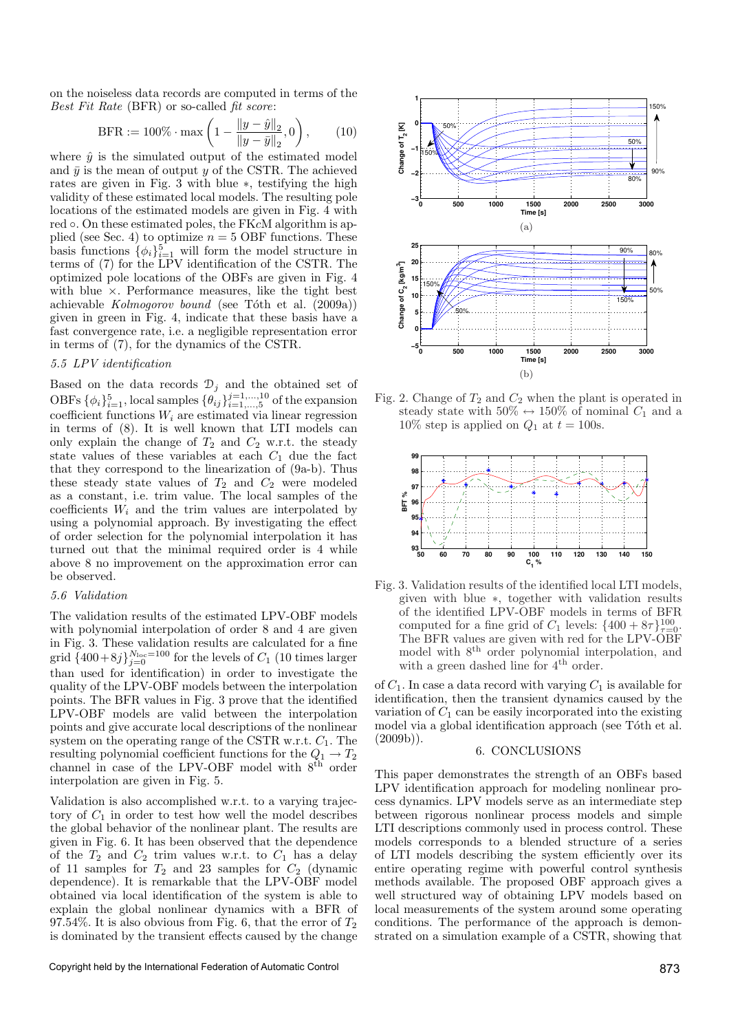on the noiseless data records are computed in terms of the Best Fit Rate (BFR) or so-called fit score:

$$
\text{BFR} := 100\% \cdot \max\left(1 - \frac{\|y - \hat{y}\|_2}{\|y - \bar{y}\|_2}, 0\right),\qquad(10)
$$

where  $\hat{y}$  is the simulated output of the estimated model and  $\bar{y}$  is the mean of output y of the CSTR. The achieved rates are given in Fig. 3 with blue ∗, testifying the high validity of these estimated local models. The resulting pole locations of the estimated models are given in Fig. 4 with red ∘. On these estimated poles, the FKcM algorithm is applied (see Sec. 4) to optimize  $n = 5$  OBF functions. These basis functions  $\{\phi_i\}_{i=1}^5$  will form the model structure in terms of (7) for the LPV identification of the CSTR. The optimized pole locations of the OBFs are given in Fig. 4 with blue  $\times$ . Performance measures, like the tight best achievable  $Kolmogorov bound$  (see Tóth et al.  $(2009a)$ ) given in green in Fig. 4, indicate that these basis have a fast convergence rate, i.e. a negligible representation error in terms of (7), for the dynamics of the CSTR.

## 5.5 LPV identification

Based on the data records  $\mathcal{D}_j$  and the obtained set of OBFs  $\{\phi_i\}_{i=1}^5$ , local samples  $\{\theta_{ij}\}_{i=1,\dots,5}^{j=1,\dots,10}$  of the expansion coefficient functions  $W_i$  are estimated via linear regression in terms of (8). It is well known that LTI models can only explain the change of  $T_2$  and  $C_2$  w.r.t. the steady state values of these variables at each  $C_1$  due the fact that they correspond to the linearization of (9a-b). Thus these steady state values of  $T_2$  and  $C_2$  were modeled as a constant, i.e. trim value. The local samples of the coefficients  $W_i$  and the trim values are interpolated by using a polynomial approach. By investigating the effect of order selection for the polynomial interpolation it has turned out that the minimal required order is 4 while above 8 no improvement on the approximation error can be observed.

## 5.6 Validation

The validation results of the estimated LPV-OBF models with polynomial interpolation of order 8 and 4 are given in Fig. 3. These validation results are calculated for a fine grid  $\{400+8j\}_{j=0}^{N_{\text{loc}}=100}$  for the levels of  $C_1$  (10 times larger than used for identification) in order to investigate the quality of the LPV-OBF models between the interpolation points. The BFR values in Fig. 3 prove that the identified LPV-OBF models are valid between the interpolation points and give accurate local descriptions of the nonlinear system on the operating range of the CSTR w.r.t.  $C_1$ . The resulting polynomial coefficient functions for the  $Q_1 \rightarrow T_2$ channel in case of the LPV-OBF model with  $8<sup>th</sup>$  order interpolation are given in Fig. 5.

Validation is also accomplished w.r.t. to a varying trajectory of  $C_1$  in order to test how well the model describes the global behavior of the nonlinear plant. The results are given in Fig. 6. It has been observed that the dependence of the  $T_2$  and  $C_2$  trim values w.r.t. to  $C_1$  has a delay of 11 samples for  $T_2$  and 23 samples for  $C_2$  (dynamic dependence). It is remarkable that the LPV-OBF model obtained via local identification of the system is able to explain the global nonlinear dynamics with a BFR of 97.54%. It is also obvious from Fig. 6, that the error of  $T_2$ is dominated by the transient effects caused by the change



Fig. 3. Validation results of the identified local LTI models, given with blue ∗, together with validation results of the identified LPV-OBF models in terms of BFR computed for a fine grid of  $C_1$  levels:  $\{400 + 8\tau\}^{100}_{\tau=0}$ . The BFR values are given with red for the LPV-OBF model with  $8<sup>th</sup>$  order polynomial interpolation, and with a green dashed line for 4<sup>th</sup> order.

**50 60 70 80 90 100 110 120 130 140 150**

**C1 %**

of  $C_1$ . In case a data record with varying  $C_1$  is available for identification, then the transient dynamics caused by the variation of  $C_1$  can be easily incorporated into the existing model via a global identification approach (see Tóth et al.  $(2009b)$ ).

# 6. CONCLUSIONS

This paper demonstrates the strength of an OBFs based LPV identification approach for modeling nonlinear process dynamics. LPV models serve as an intermediate step between rigorous nonlinear process models and simple LTI descriptions commonly used in process control. These models corresponds to a blended structure of a series of LTI models describing the system efficiently over its entire operating regime with powerful control synthesis methods available. The proposed OBF approach gives a well structured way of obtaining LPV models based on local measurements of the system around some operating conditions. The performance of the approach is demonstrated on a simulation example of a CSTR, showing that



steady state with  $50\% \leftrightarrow 150\%$  of nominal  $C_1$  and a

 $10\%$  step is applied on  $Q_1$  at  $t = 100$ s.